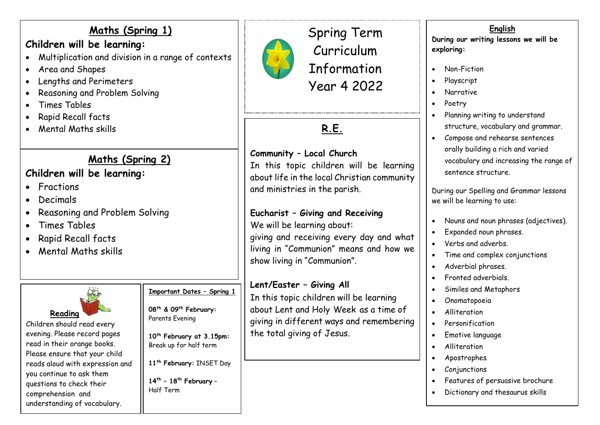## **Maths (Spring 1)**

## **Children will be learning:**

- Multiplication and division in a range of contexts
- Area and Shapes
- Lengths and Perimeters
- Reasoning and Problem Solving
- Times Tables
- Rapid Recall facts
- Mental Maths skills

# **Maths (Spring 2)**

# **Children will be learning:**

- **•** Fractions
- Decimals
- Reasoning and Problem Solving
- Times Tables
- Rapid Recall facts
- Mental Maths skills



Children should read every evening. Please record pages read in their orange books. Please ensure that your child reads aloud with expression and you continue to ask them questions to check their comprehension and understanding of vocabulary.

# **Important Dates – Spring 1**

**08th & 09th February:** Parents Evening

**10 th February at 3.15pm:**  Break up for half term

**11 th February:** INSET Day

**14th – 18th February** – Half Term



Spring Term Curriculum Information Year 4 2022

# **R.E.**

### **Community – Local Church**

In this topic children will be learning about life in the local Christian community and ministries in the parish.

#### **Eucharist – Giving and Receiving**

We will be learning about:

giving and receiving every day and what living in "Communion" means and how we show living in "Communion".

#### **Lent/Easter – Giving All**

In this topic children will be learning about Lent and Holy Week as a time of giving in different ways and remembering the total giving of Jesus.

#### **English**

**During our writing lessons we will be exploring:**

- Non-Fiction
- Playscript
- Narrative
- Poetry
- Planning writing to understand structure, vocabulary and grammar.
- Compose and rehearse sentences orally building a rich and varied vocabulary and increasing the range of sentence structure.

During our Spelling and Grammar lessons we will be learning to use:

- Nouns and noun phrases (adjectives).
- Expanded noun phrases.
- Verbs and adverbs.
- Time and complex conjunctions
- Adverbial phrases.
- Fronted adverbials.
- Similes and Metaphors
- Onomatopoeia
- Alliteration
- Personification
- Emotive language
- **•** Alliteration
- Apostrophes
- **Conjunctions**
- Features of persuasive brochure
- Dictionary and thesaurus skills